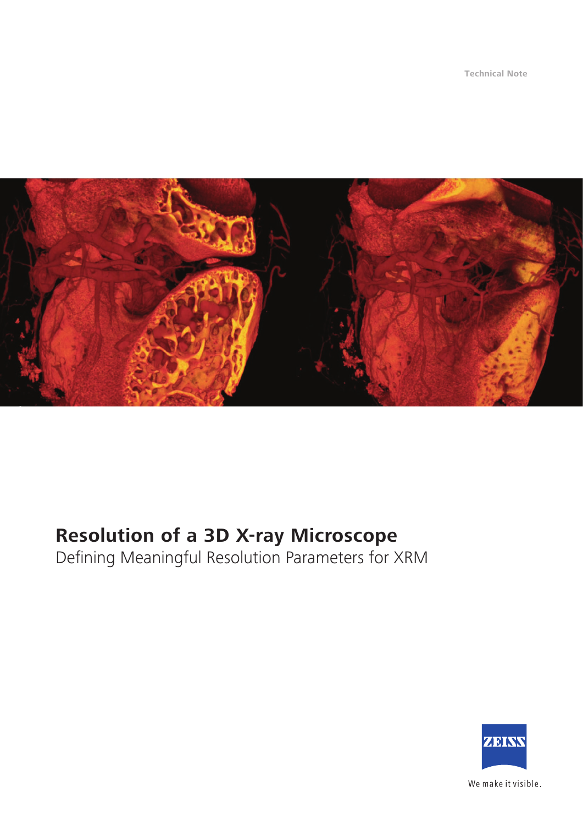**Technical Note**



# **Resolution of a 3D X-ray Microscope**

Defining Meaningful Resolution Parameters for XRM



We make it visible.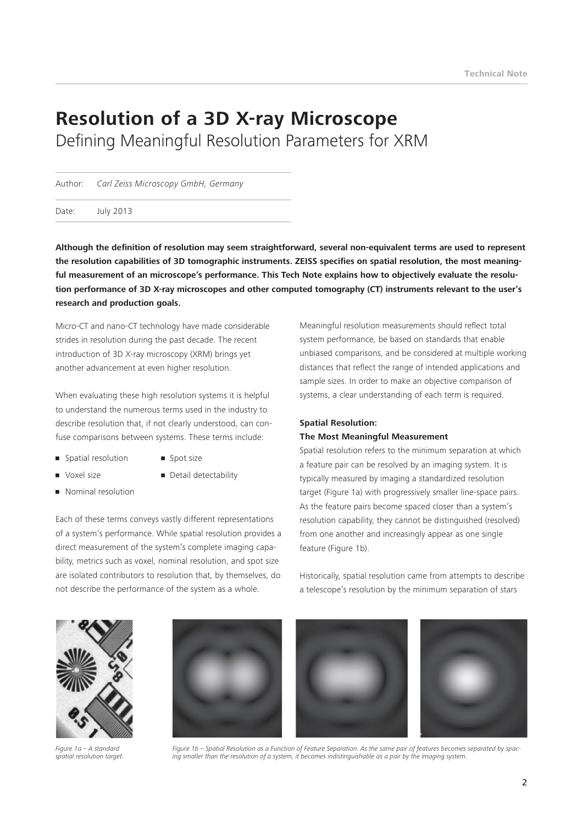## **Resolution of a 3D X-ray Microscope** Defining Meaningful Resolution Parameters for XRM

Author: *Carl Zeiss Microscopy GmbH, Germany*

Date: July 2013

**Although the definition of resolution may seem straightforward, several non-equivalent terms are used to represent the resolution capabilities of 3D tomographic instruments. ZEISS specifies on spatial resolution, the most meaningful measurement of an microscope's performance. This Tech Note explains how to objectively evaluate the resolution performance of 3D X-ray microscopes and other computed tomography (CT) instruments relevant to the user's research and production goals.** 

Micro-CT and nano-CT technology have made considerable strides in resolution during the past decade. The recent introduction of 3D X-ray microscopy (XRM) brings yet another advancement at even higher resolution.

When evaluating these high resolution systems it is helpful to understand the numerous terms used in the industry to describe resolution that, if not clearly understood, can confuse comparisons between systems. These terms include:

- Spatial resolution Spot size
- 
- 
- 
- Voxel size • Detail detectability
- 
- **Nominal resolution**

Each of these terms conveys vastly different representations of a system's performance. While spatial resolution provides a direct measurement of the system's complete imaging capability, metrics such as voxel, nominal resolution, and spot size are isolated contributors to resolution that, by themselves, do not describe the performance of the system as a whole.

Meaningful resolution measurements should reflect total system performance, be based on standards that enable unbiased comparisons, and be considered at multiple working distances that reflect the range of intended applications and sample sizes. In order to make an objective comparison of systems, a clear understanding of each term is required.

#### **Spatial Resolution: The Most Meaningful Measurement**

Spatial resolution refers to the minimum separation at which a feature pair can be resolved by an imaging system. It is typically measured by imaging a standardized resolution target (Figure 1a) with progressively smaller line-space pairs. As the feature pairs become spaced closer than a system's resolution capability, they cannot be distinguished (resolved) from one another and increasingly appear as one single feature (Figure 1b).

Historically, spatial resolution came from attempts to describe a telescope's resolution by the minimum separation of stars



*Figure 1a – A standard spatial resolution target.*



*Figure 1b – Spatial Resolution as a Function of Feature Separation. As the same pair of features becomes separated by spacing smaller than the resolution of a system, it becomes indistinguishable as a pair by the imaging system.*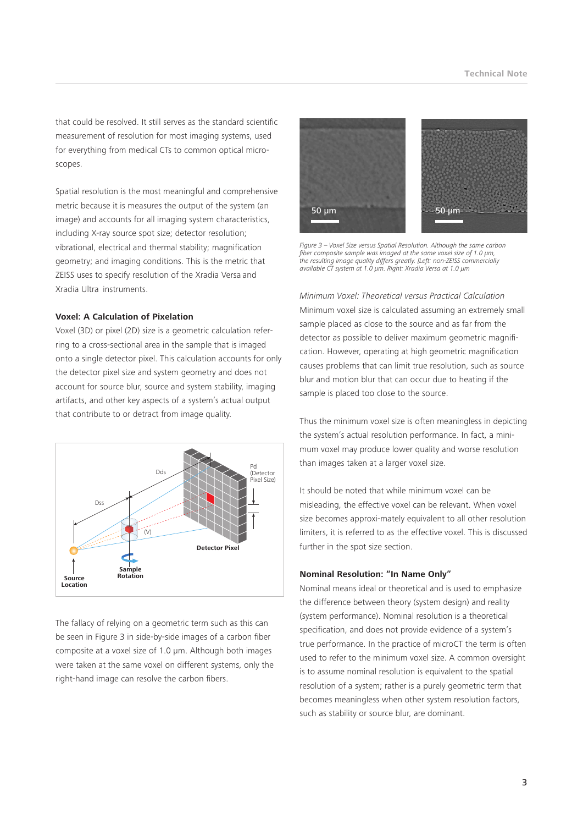that could be resolved. It still serves as the standard scientific measurement of resolution for most imaging systems, used for everything from medical CTs to common optical microscopes.

Spatial resolution is the most meaningful and comprehensive metric because it is measures the output of the system (an image) and accounts for all imaging system characteristics, including X-ray source spot size; detector resolution; vibrational, electrical and thermal stability; magnification geometry; and imaging conditions. This is the metric that ZEISS uses to specify resolution of the Xradia Versa and Xradia Ultra instruments.

#### **Voxel: A Calculation of Pixelation**

Voxel (3D) or pixel (2D) size is a geometric calculation referring to a cross-sectional area in the sample that is imaged onto a single detector pixel. This calculation accounts for only the detector pixel size and system geometry and does not account for source blur, source and system stability, imaging artifacts, and other key aspects of a system's actual output that contribute to or detract from image quality.



The fallacy of relying on a geometric term such as this can be seen in Figure 3 in side-by-side images of a carbon fiber composite at a voxel size of 1.0 µm. Although both images were taken at the same voxel on different systems, only the right-hand image can resolve the carbon fibers.



*Figure 3 – Voxel Size versus Spatial Resolution. Although the same carbon fiber composite sample was imaged at the same voxel size of 1.0 µm, the resulting image quality differs greatly. [Left: non-ZEISS commercially available CT system at 1.0 µm. Right: Xradia Versa at 1.0 µm*

*Minimum Voxel: Theoretical versus Practical Calculation* Minimum voxel size is calculated assuming an extremely small sample placed as close to the source and as far from the detector as possible to deliver maximum geometric magnification. However, operating at high geometric magnification causes problems that can limit true resolution, such as source blur and motion blur that can occur due to heating if the sample is placed too close to the source.

Thus the minimum voxel size is often meaningless in depicting the system's actual resolution performance. In fact, a minimum voxel may produce lower quality and worse resolution than images taken at a larger voxel size.

It should be noted that while minimum voxel can be misleading, the effective voxel can be relevant. When voxel size becomes approxi-mately equivalent to all other resolution limiters, it is referred to as the effective voxel. This is discussed further in the spot size section.

#### **Nominal Resolution: "In Name Only"**

Nominal means ideal or theoretical and is used to emphasize the difference between theory (system design) and reality (system performance). Nominal resolution is a theoretical specification, and does not provide evidence of a system's true performance. In the practice of microCT the term is often used to refer to the minimum voxel size. A common oversight is to assume nominal resolution is equivalent to the spatial resolution of a system; rather is a purely geometric term that becomes meaningless when other system resolution factors, such as stability or source blur, are dominant.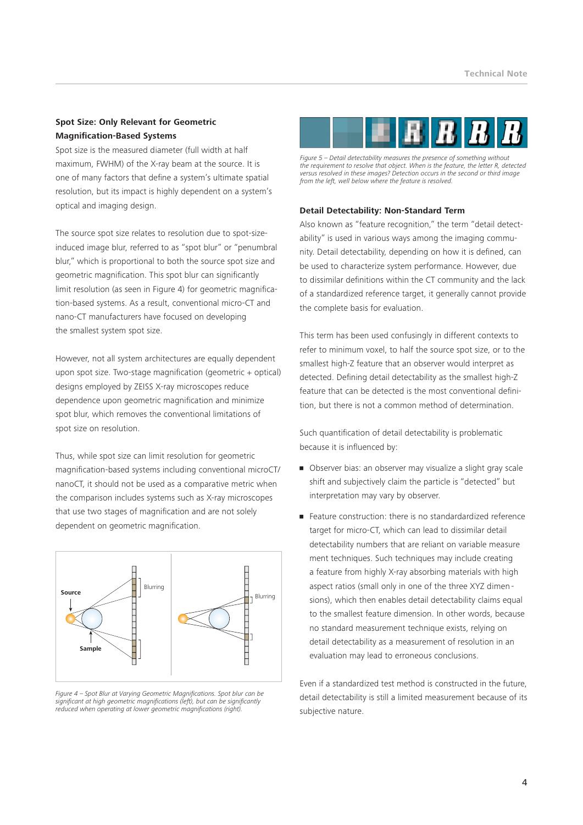#### **Spot Size: Only Relevant for Geometric Magnification-Based Systems**

Spot size is the measured diameter (full width at half maximum, FWHM) of the X-ray beam at the source. It is one of many factors that define a system's ultimate spatial resolution, but its impact is highly dependent on a system's optical and imaging design.

The source spot size relates to resolution due to spot-sizeinduced image blur, referred to as "spot blur" or "penumbral blur," which is proportional to both the source spot size and geometric magnification. This spot blur can significantly limit resolution (as seen in Figure 4) for geometric magnification-based systems. As a result, conventional micro-CT and nano-CT manufacturers have focused on developing the smallest system spot size.

However, not all system architectures are equally dependent upon spot size. Two-stage magnification (geometric + optical) designs employed by ZEISS X-ray microscopes reduce dependence upon geometric magnification and minimize spot blur, which removes the conventional limitations of spot size on resolution.

Thus, while spot size can limit resolution for geometric magnification-based systems including conventional microCT/ nanoCT, it should not be used as a comparative metric when the comparison includes systems such as X-ray microscopes that use two stages of magnification and are not solely dependent on geometric magnification.



*Figure 4 – Spot Blur at Varying Geometric Magnifications. Spot blur can be significant at high geometric magnifications (left), but can be significantly reduced when operating at lower geometric magnifications (right).* 



*Figure 5 – Detail detectability measures the presence of something without the requirement to resolve that object. When is the feature, the letter R, detected versus resolved in these images? Detection occurs in the second or third image from the left, well below where the feature is resolved.*

#### **Detail Detectability: Non-Standard Term**

Also known as "feature recognition," the term "detail detectability" is used in various ways among the imaging community. Detail detectability, depending on how it is defined, can be used to characterize system performance. However, due to dissimilar definitions within the CT community and the lack of a standardized reference target, it generally cannot provide the complete basis for evaluation.

This term has been used confusingly in different contexts to refer to minimum voxel, to half the source spot size, or to the smallest high-Z feature that an observer would interpret as detected. Defining detail detectability as the smallest high-Z feature that can be detected is the most conventional definition, but there is not a common method of determination.

Such quantification of detail detectability is problematic because it is influenced by:

- Observer bias: an observer may visualize a slight gray scale shift and subjectively claim the particle is "detected" but interpretation may vary by observer.
- target for micro-CT, which can lead to dissimilar detail uu' • Feature construction: there is no standardardized reference detectability numbers that are reliant on variable measure ment techniques. Such techniques may include creating a feature from highly X-ray absorbing materials with high aspect ratios (small only in one of the three XYZ dimen sions), which then enables detail detectability claims equal to the smallest feature dimension. In other words, because no standard measurement technique exists, relying on detail detectability as a measurement of resolution in an evaluation may lead to erroneous conclusions.

Even if a standardized test method is constructed in the future, detail detectability is still a limited measurement because of its subjective nature.